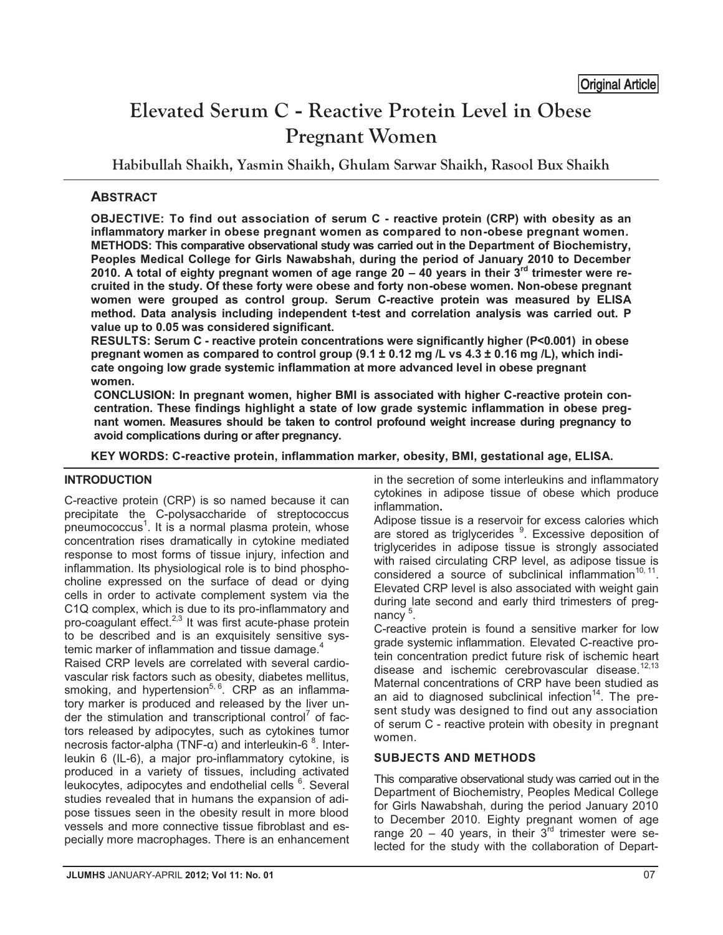# **Elevated Serum C - Reactive Protein Level in Obese Pregnant Women**

**Habibullah Shaikh, Yasmin Shaikh, Ghulam Sarwar Shaikh, Rasool Bux Shaikh**

## **ABSTRACT**

**OBJECTIVE: To find out association of serum C - reactive protein (CRP) with obesity as an inflammatory marker in obese pregnant women as compared to non-obese pregnant women. METHODS: This comparative observational study was carried out in the Department of Biochemistry, Peoples Medical College for Girls Nawabshah, during the period of January 2010 to December 2010. A total of eighty pregnant women of age range 20 – 40 years in their 3rd trimester were recruited in the study. Of these forty were obese and forty non-obese women. Non-obese pregnant women were grouped as control group. Serum C-reactive protein was measured by ELISA method. Data analysis including independent t-test and correlation analysis was carried out. P value up to 0.05 was considered significant.** 

**RESULTS: Serum C - reactive protein concentrations were significantly higher (P<0.001) in obese pregnant women as compared to control group (9.1 ± 0.12 mg /L vs 4.3 ± 0.16 mg /L), which indicate ongoing low grade systemic inflammation at more advanced level in obese pregnant women.** 

**CONCLUSION: In pregnant women, higher BMI is associated with higher C-reactive protein concentration. These findings highlight a state of low grade systemic inflammation in obese pregnant women. Measures should be taken to control profound weight increase during pregnancy to avoid complications during or after pregnancy.** 

**KEY WORDS: C-reactive protein, inflammation marker, obesity, BMI, gestational age, ELISA.** 

#### **INTRODUCTION**

C-reactive protein (CRP) is so named because it can precipitate the C-polysaccharide of streptococcus pneumococcus<sup>1</sup>. It is a normal plasma protein, whose concentration rises dramatically in cytokine mediated response to most forms of tissue injury, infection and inflammation. Its physiological role is to bind phosphocholine expressed on the surface of dead or dying cells in order to activate complement system via the C1Q complex, which is due to its pro-inflammatory and pro-coagulant effect.<sup>2,3</sup> It was first acute-phase protein to be described and is an exquisitely sensitive systemic marker of inflammation and tissue damage.<sup>4</sup>

Raised CRP levels are correlated with several cardiovascular risk factors such as obesity, diabetes mellitus, smoking, and hypertension<sup>5, 6</sup>. CRP as an inflammatory marker is produced and released by the liver under the stimulation and transcriptional control<sup>7</sup> of factors released by adipocytes, such as cytokines tumor necrosis factor-alpha (TNF-α) and interleukin-6<sup>8</sup>. Interleukin 6 (IL-6), a major pro-inflammatory cytokine, is produced in a variety of tissues, including activated leukocytes, adipocytes and endothelial cells <sup>6</sup>. Several studies revealed that in humans the expansion of adipose tissues seen in the obesity result in more blood vessels and more connective tissue fibroblast and especially more macrophages. There is an enhancement

in the secretion of some interleukins and inflammatory cytokines in adipose tissue of obese which produce inflammation**.**

Adipose tissue is a reservoir for excess calories which are stored as triglycerides <sup>9</sup>. Excessive deposition of triglycerides in adipose tissue is strongly associated with raised circulating CRP level, as adipose tissue is considered a source of subclinical inflammation<sup>10, 11</sup>. Elevated CRP level is also associated with weight gain during late second and early third trimesters of pregnancy<sup>5</sup>.

C-reactive protein is found a sensitive marker for low grade systemic inflammation. Elevated C-reactive protein concentration predict future risk of ischemic heart disease and ischemic cerebrovascular disease. $12,13$ Maternal concentrations of CRP have been studied as an aid to diagnosed subclinical infection<sup>14</sup>. The present study was designed to find out any association of serum C - reactive protein with obesity in pregnant women.

## **SUBJECTS AND METHODS**

This comparative observational study was carried out in the Department of Biochemistry, Peoples Medical College for Girls Nawabshah, during the period January 2010 to December 2010. Eighty pregnant women of age range 20 – 40 years, in their  $3<sup>rd</sup>$  trimester were selected for the study with the collaboration of Depart-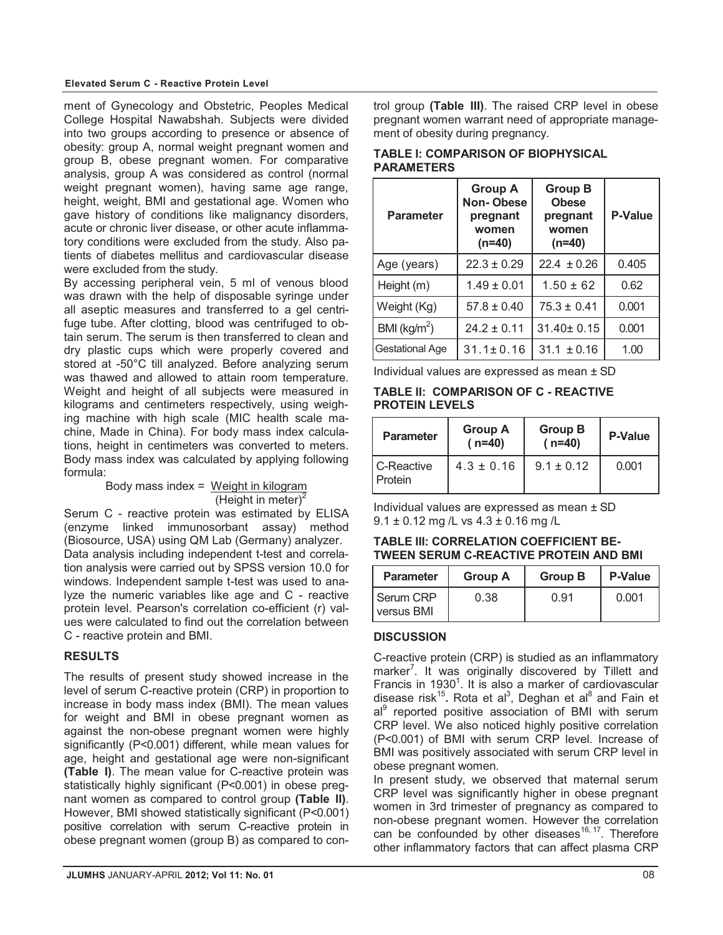#### **Elevated Serum C - Reactive Protein Level**

ment of Gynecology and Obstetric, Peoples Medical College Hospital Nawabshah. Subjects were divided into two groups according to presence or absence of obesity: group A, normal weight pregnant women and group B, obese pregnant women. For comparative analysis, group A was considered as control (normal weight pregnant women), having same age range, height, weight, BMI and gestational age. Women who gave history of conditions like malignancy disorders, acute or chronic liver disease, or other acute inflammatory conditions were excluded from the study. Also patients of diabetes mellitus and cardiovascular disease were excluded from the study.

By accessing peripheral vein, 5 ml of venous blood was drawn with the help of disposable syringe under all aseptic measures and transferred to a gel centrifuge tube. After clotting, blood was centrifuged to obtain serum. The serum is then transferred to clean and dry plastic cups which were properly covered and stored at -50°C till analyzed. Before analyzing serum was thawed and allowed to attain room temperature. Weight and height of all subjects were measured in kilograms and centimeters respectively, using weighing machine with high scale (MIC health scale machine, Made in China). For body mass index calculations, height in centimeters was converted to meters. Body mass index was calculated by applying following formula:

### Body mass index = Weight in kilogram (Height in meter) $<sup>2</sup>$ </sup>

Serum C - reactive protein was estimated by ELISA (enzyme linked immunosorbant assay) method (Biosource, USA) using QM Lab (Germany) analyzer. Data analysis including independent t-test and correlation analysis were carried out by SPSS version 10.0 for windows. Independent sample t-test was used to analyze the numeric variables like age and C - reactive protein level. Pearson's correlation co-efficient (r) values were calculated to find out the correlation between C - reactive protein and BMI.

## **RESULTS**

The results of present study showed increase in the level of serum C-reactive protein (CRP) in proportion to increase in body mass index (BMI). The mean values for weight and BMI in obese pregnant women as against the non-obese pregnant women were highly significantly (P<0.001) different, while mean values for age, height and gestational age were non-significant **(Table I)**. The mean value for C-reactive protein was statistically highly significant (P<0.001) in obese pregnant women as compared to control group **(Table II)**. However, BMI showed statistically significant (P<0.001) positive correlation with serum C-reactive protein in obese pregnant women (group B) as compared to control group **(Table III)**. The raised CRP level in obese pregnant women warrant need of appropriate management of obesity during pregnancy.

#### **TABLE I: COMPARISON OF BIOPHYSICAL PARAMETERS**

| <b>Parameter</b>       | <b>Group A</b><br><b>Non-Obese</b><br>pregnant<br>women<br>$(n=40)$ | <b>Group B</b><br><b>Obese</b><br>pregnant<br>women<br>$(n=40)$ | <b>P-Value</b> |
|------------------------|---------------------------------------------------------------------|-----------------------------------------------------------------|----------------|
| Age (years)            | $22.3 \pm 0.29$                                                     | $22.4 \pm 0.26$                                                 | 0.405          |
| Height (m)             | $1.49 \pm 0.01$                                                     | $1.50 \pm 62$                                                   | 0.62           |
| Weight (Kg)            | $57.8 \pm 0.40$                                                     | $75.3 \pm 0.41$                                                 | 0.001          |
| BMI ( $kg/m2$ )        | $24.2 \pm 0.11$                                                     | 31.40± 0.15                                                     | 0.001          |
| <b>Gestational Age</b> | $31.1 \pm 0.16$                                                     | $31.1 \pm 0.16$                                                 | 1.00           |

Individual values are expressed as mean ± SD

**TABLE II: COMPARISON OF C - REACTIVE PROTEIN LEVELS**

| <b>Parameter</b>      | <b>Group A</b><br>$(n=40)$ | <b>Group B</b><br>$(n=40)$ | <b>P-Value</b> |
|-----------------------|----------------------------|----------------------------|----------------|
| C-Reactive<br>Protein | $4.3 \pm 0.16$             | $9.1 \pm 0.12$             | 0.001          |

Individual values are expressed as mean ± SD 9.1 ± 0.12 mg /L vs 4.3 ± 0.16 mg /L

**TABLE III: CORRELATION COEFFICIENT BE-TWEEN SERUM C-REACTIVE PROTEIN AND BMI** 

| <b>Parameter</b>            | <b>Group A</b> | <b>Group B</b> | <b>P-Value</b> |
|-----------------------------|----------------|----------------|----------------|
| l Serum CRP<br>l versus BMI | 0.38           | በ 91           | 0.001          |

## **DISCUSSION**

C-reactive protein (CRP) is studied as an inflammatory marker<sup>7</sup>. It was originally discovered by Tillett and Francis in  $1930<sup>1</sup>$ . It is also a marker of cardiovascular disease risk<sup>15</sup>. Rota et al<sup>3</sup>, Deghan et al<sup>8</sup> and Fain et al<sup>9</sup> reported positive association of BMI with serum CRP level. We also noticed highly positive correlation (P<0.001) of BMI with serum CRP level. Increase of BMI was positively associated with serum CRP level in obese pregnant women.

In present study, we observed that maternal serum CRP level was significantly higher in obese pregnant women in 3rd trimester of pregnancy as compared to non-obese pregnant women. However the correlation can be confounded by other diseases $16, 17$ . Therefore other inflammatory factors that can affect plasma CRP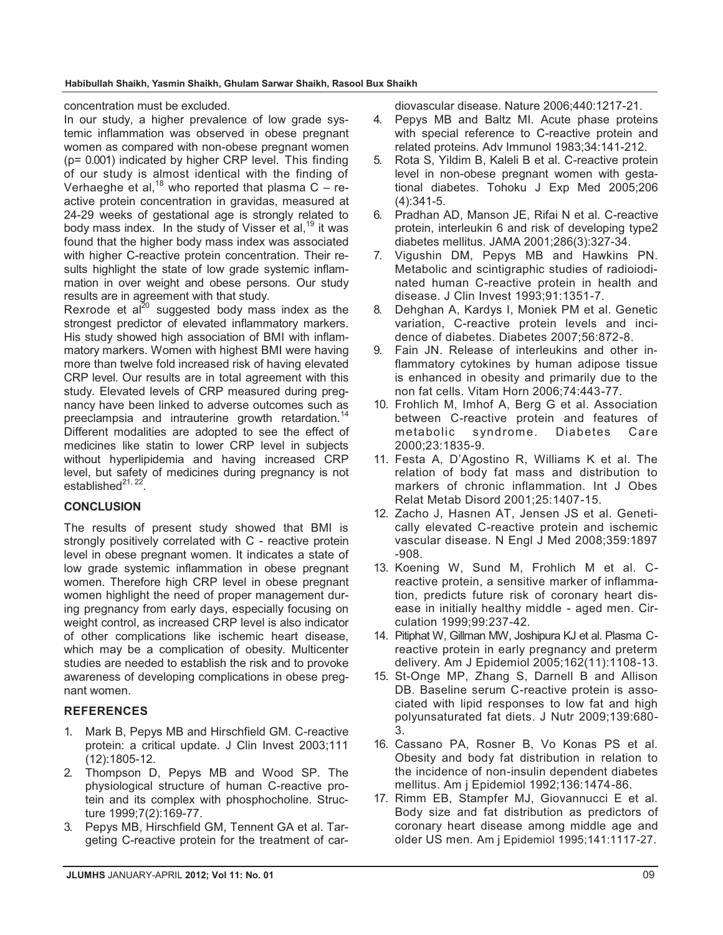concentration must be excluded.

In our study, a higher prevalence of low grade systemic inflammation was observed in obese pregnant women as compared with non-obese pregnant women (p= 0.001) indicated by higher CRP level. This finding of our study is almost identical with the finding of Verhaeghe et al, $^{18}$  who reported that plasma C – reactive protein concentration in gravidas, measured at 24-29 weeks of gestational age is strongly related to body mass index. In the study of Visser et al,  $19$  it was found that the higher body mass index was associated with higher C-reactive protein concentration. Their results highlight the state of low grade systemic inflammation in over weight and obese persons. Our study results are in agreement with that study.

Rexrode et al<sup>20</sup> suggested body mass index as the strongest predictor of elevated inflammatory markers. His study showed high association of BMI with inflammatory markers. Women with highest BMI were having more than twelve fold increased risk of having elevated CRP level. Our results are in total agreement with this study. Elevated levels of CRP measured during pregnancy have been linked to adverse outcomes such as preeclampsia and intrauterine growth retardation.<sup>14</sup> Different modalities are adopted to see the effect of medicines like statin to lower CRP level in subjects without hyperlipidemia and having increased CRP level, but safety of medicines during pregnancy is not established $^{21, 22}$ .

# **CONCLUSION**

The results of present study showed that BMI is strongly positively correlated with C - reactive protein level in obese pregnant women. It indicates a state of low grade systemic inflammation in obese pregnant women. Therefore high CRP level in obese pregnant women highlight the need of proper management during pregnancy from early days, especially focusing on weight control, as increased CRP level is also indicator of other complications like ischemic heart disease, which may be a complication of obesity. Multicenter studies are needed to establish the risk and to provoke awareness of developing complications in obese pregnant women.

# **REFERENCES**

- 1. Mark B, Pepys MB and Hirschfield GM. C-reactive protein: a critical update. J Clin Invest 2003;111 (12):1805-12.
- 2. Thompson D, Pepys MB and Wood SP. The physiological structure of human C-reactive protein and its complex with phosphocholine. Structure 1999;7(2):169-77.
- 3. Pepys MB, Hirschfield GM, Tennent GA et al. Targeting C-reactive protein for the treatment of car-

diovascular disease. Nature 2006;440:1217-21.

- 4. Pepys MB and Baltz MI. Acute phase proteins with special reference to C-reactive protein and related proteins. Adv Immunol 1983;34:141-212.
- 5. Rota S, Yildim B, Kaleli B et al. C-reactive protein level in non-obese pregnant women with gestational diabetes. Tohoku J Exp Med 2005;206 (4):341-5.
- 6. Pradhan AD, Manson JE, Rifai N et al. C-reactive protein, interleukin 6 and risk of developing type2 diabetes mellitus. JAMA 2001;286(3):327-34.
- 7. Vigushin DM, Pepys MB and Hawkins PN. Metabolic and scintigraphic studies of radioiodinated human C-reactive protein in health and disease. J Clin Invest 1993;91:1351-7.
- 8. Dehghan A, Kardys I, Moniek PM et al. Genetic variation, C-reactive protein levels and incidence of diabetes. Diabetes 2007;56:872-8.
- 9. Fain JN. Release of interleukins and other inflammatory cytokines by human adipose tissue is enhanced in obesity and primarily due to the non fat cells. Vitam Horn 2006;74:443-77.
- 10. Frohlich M, Imhof A, Berg G et al. Association between C-reactive protein and features of metabolic syndrome. Diabetes Care 2000;23:1835-9.
- 11. Festa A, D'Agostino R, Williams K et al. The relation of body fat mass and distribution to markers of chronic inflammation. Int J Obes Relat Metab Disord 2001;25:1407-15.
- 12. Zacho J, Hasnen AT, Jensen JS et al. Genetically elevated C-reactive protein and ischemic vascular disease. N Engl J Med 2008;359:1897 -908.
- 13. Koening W, Sund M, Frohlich M et al. Creactive protein, a sensitive marker of inflammation, predicts future risk of coronary heart disease in initially healthy middle - aged men. Circulation 1999;99:237-42.
- 14. Pitiphat W, Gillman MW, Joshipura KJ et al. Plasma Creactive protein in early pregnancy and preterm delivery. Am J Epidemiol 2005;162(11):1108-13.
- 15. St-Onge MP, Zhang S, Darnell B and Allison DB. Baseline serum C-reactive protein is associated with lipid responses to low fat and high polyunsaturated fat diets. J Nutr 2009;139:680- 3.
- 16. Cassano PA, Rosner B, Vo Konas PS et al. Obesity and body fat distribution in relation to the incidence of non-insulin dependent diabetes mellitus. Am j Epidemiol 1992;136:1474-86.
- 17. Rimm EB, Stampfer MJ, Giovannucci E et al. Body size and fat distribution as predictors of coronary heart disease among middle age and older US men. Am j Epidemiol 1995;141:1117-27.